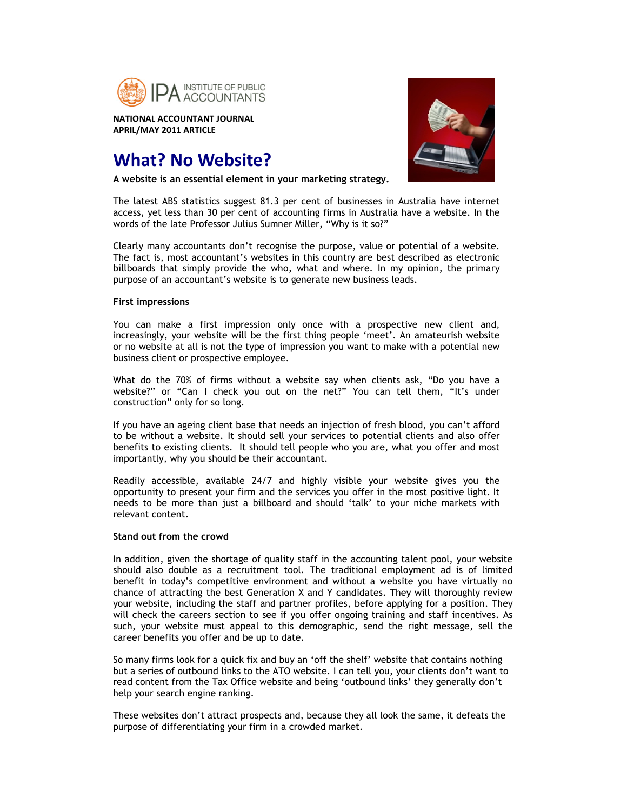

**NATIONAL ACCOUNTANT JOURNAL APRIL/MAY 2011 ARTICLE** 

# **What? No Website?**

**A website is an essential element in your marketing strategy.** 



The latest ABS statistics suggest 81.3 per cent of businesses in Australia have internet access, yet less than 30 per cent of accounting firms in Australia have a website. In the words of the late Professor Julius Sumner Miller, "Why is it so?"

Clearly many accountants don't recognise the purpose, value or potential of a website. The fact is, most accountant's websites in this country are best described as electronic billboards that simply provide the who, what and where. In my opinion, the primary purpose of an accountant's website is to generate new business leads.

### **First impressions**

You can make a first impression only once with a prospective new client and, increasingly, your website will be the first thing people 'meet'. An amateurish website or no website at all is not the type of impression you want to make with a potential new business client or prospective employee.

What do the 70% of firms without a website say when clients ask, "Do you have a website?" or "Can I check you out on the net?" You can tell them, "It's under construction" only for so long.

If you have an ageing client base that needs an injection of fresh blood, you can't afford to be without a website. It should sell your services to potential clients and also offer benefits to existing clients. It should tell people who you are, what you offer and most importantly, why you should be their accountant.

Readily accessible, available 24/7 and highly visible your website gives you the opportunity to present your firm and the services you offer in the most positive light. It needs to be more than just a billboard and should 'talk' to your niche markets with relevant content.

## **Stand out from the crowd**

In addition, given the shortage of quality staff in the accounting talent pool, your website should also double as a recruitment tool. The traditional employment ad is of limited benefit in today's competitive environment and without a website you have virtually no chance of attracting the best Generation X and Y candidates. They will thoroughly review your website, including the staff and partner profiles, before applying for a position. They will check the careers section to see if you offer ongoing training and staff incentives. As such, your website must appeal to this demographic, send the right message, sell the career benefits you offer and be up to date.

So many firms look for a quick fix and buy an 'off the shelf' website that contains nothing but a series of outbound links to the ATO website. I can tell you, your clients don't want to read content from the Tax Office website and being 'outbound links' they generally don't help your search engine ranking.

These websites don't attract prospects and, because they all look the same, it defeats the purpose of differentiating your firm in a crowded market.